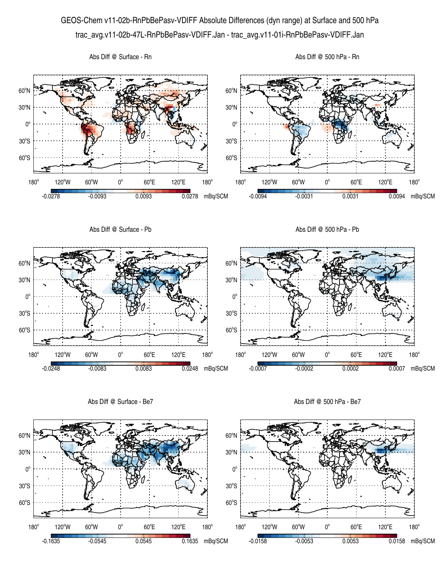## GEOS-Chem v11-02b-RnPbBePasv-VDIFF Absolute Differences (dyn range) at Surface and 500 hPa trac\_avg.v11-02b-47L-RnPbBePasv-VDIFF.Jan - trac\_avg.v11-01i-RnPbBePasv-VDIFF.Jan



Abs Diff @ Surface - Be7

Abs Diff @ 500 hPa - Be7